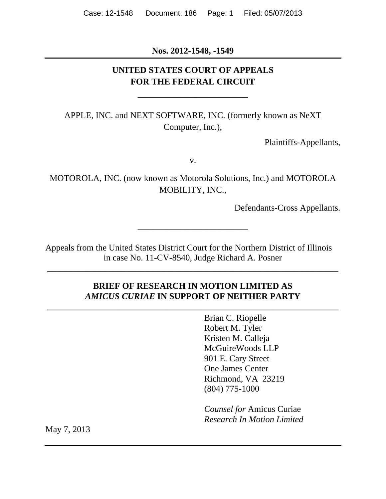**Nos. 2012-1548, -1549** 

## **UNITED STATES COURT OF APPEALS FOR THE FEDERAL CIRCUIT**

**\_\_\_\_\_\_\_\_\_\_\_\_\_\_\_\_\_\_\_\_\_\_\_\_\_** 

APPLE, INC. and NEXT SOFTWARE, INC. (formerly known as NeXT Computer, Inc.),

Plaintiffs-Appellants,

v.

MOTOROLA, INC. (now known as Motorola Solutions, Inc.) and MOTOROLA MOBILITY, INC.,

**\_\_\_\_\_\_\_\_\_\_\_\_\_\_\_\_\_\_\_\_\_\_\_\_\_** 

Defendants-Cross Appellants.

Appeals from the United States District Court for the Northern District of Illinois in case No. 11-CV-8540, Judge Richard A. Posner

### **BRIEF OF RESEARCH IN MOTION LIMITED AS**  *AMICUS CURIAE* **IN SUPPORT OF NEITHER PARTY**

**\_\_\_\_\_\_\_\_\_\_\_\_\_\_\_\_\_\_\_\_\_\_\_\_\_\_\_\_\_\_\_\_\_\_\_\_\_\_\_\_\_\_\_\_\_\_\_\_\_\_\_\_\_\_\_\_\_\_\_\_\_\_\_\_\_\_**

**\_\_\_\_\_\_\_\_\_\_\_\_\_\_\_\_\_\_\_\_\_\_\_\_\_\_\_\_\_\_\_\_\_\_\_\_\_\_\_\_\_\_\_\_\_\_\_\_\_\_\_\_\_\_\_\_\_\_\_\_\_\_\_\_\_\_**

 Brian C. Riopelle Robert M. Tyler Kristen M. Calleja McGuireWoods LLP 901 E. Cary Street One James Center Richmond, VA 23219 (804) 775-1000

*Counsel for* Amicus Curiae *Research In Motion Limited*

May 7, 2013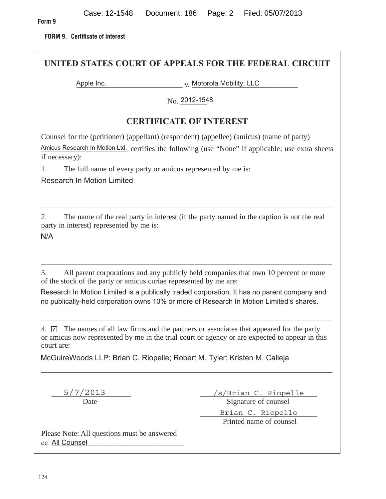**FORM 9. Certificate of Interest** 

| UNITED STATES COURT OF APPEALS FOR THE FEDERAL CIRCUIT                                                                                                                                                                                                                                                                                                   |                                                                                                     |  |
|----------------------------------------------------------------------------------------------------------------------------------------------------------------------------------------------------------------------------------------------------------------------------------------------------------------------------------------------------------|-----------------------------------------------------------------------------------------------------|--|
| Apple Inc.                                                                                                                                                                                                                                                                                                                                               | v. Motorola Mobility, LLC                                                                           |  |
|                                                                                                                                                                                                                                                                                                                                                          | No. 2012-1548                                                                                       |  |
| <b>CERTIFICATE OF INTEREST</b>                                                                                                                                                                                                                                                                                                                           |                                                                                                     |  |
| Counsel for the (petitioner) (appellant) (respondent) (appellee) (amicus) (name of party)<br>if necessary):                                                                                                                                                                                                                                              | Amicus Research In Motion Ltd. certifies the following (use "None" if applicable; use extra sheets  |  |
| The full name of every party or amicus represented by me is:<br>1.<br><b>Research In Motion Limited</b>                                                                                                                                                                                                                                                  |                                                                                                     |  |
| 2.<br>party in interest) represented by me is:<br>N/A                                                                                                                                                                                                                                                                                                    | The name of the real party in interest (if the party named in the caption is not the real           |  |
| All parent corporations and any publicly held companies that own 10 percent or more<br>3.<br>of the stock of the party or amicus curiae represented by me are:<br>Research In Motion Limited is a publically traded corporation. It has no parent company and<br>no publically-held corporation owns 10% or more of Research In Motion Limited's shares. |                                                                                                     |  |
| 4. $\Box$ The names of all law firms and the partners or associates that appeared for the party<br>or amicus now represented by me in the trial court or agency or are expected to appear in this<br>court are:                                                                                                                                          |                                                                                                     |  |
| McGuireWoods LLP: Brian C. Riopelle; Robert M. Tyler; Kristen M. Calleja                                                                                                                                                                                                                                                                                 |                                                                                                     |  |
| 5/7/2013<br>Date                                                                                                                                                                                                                                                                                                                                         | <u>/s/Brian C. Riopelle</u><br>Signature of counsel<br>Brian C. Riopelle<br>Printed name of counsel |  |
| Please Note: All questions must be answered<br>cc: All Counsel                                                                                                                                                                                                                                                                                           |                                                                                                     |  |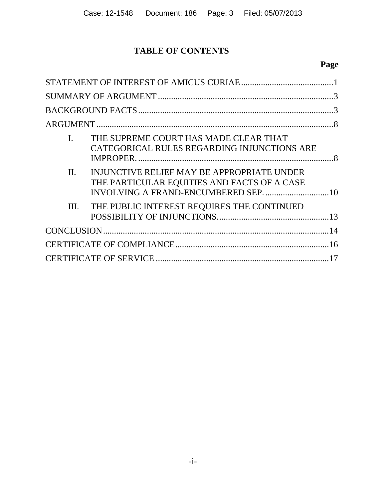## **TABLE OF CONTENTS**

## **Page**

| $\overline{I}$ . | THE SUPREME COURT HAS MADE CLEAR THAT<br>CATEGORICAL RULES REGARDING INJUNCTIONS ARE      |  |
|------------------|-------------------------------------------------------------------------------------------|--|
| II.              | INJUNCTIVE RELIEF MAY BE APPROPRIATE UNDER<br>THE PARTICULAR EQUITIES AND FACTS OF A CASE |  |
| Ш.               | THE PUBLIC INTEREST REQUIRES THE CONTINUED                                                |  |
|                  |                                                                                           |  |
|                  |                                                                                           |  |
|                  |                                                                                           |  |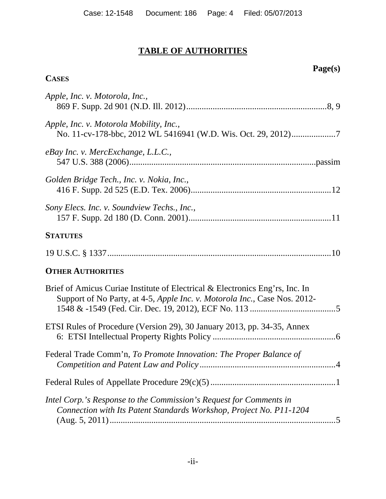# **TABLE OF AUTHORITIES**

# **Page(s)**

## **CASES**

| Apple, Inc. v. Motorola, Inc.,                                                                                                                            |
|-----------------------------------------------------------------------------------------------------------------------------------------------------------|
| Apple, Inc. v. Motorola Mobility, Inc.,                                                                                                                   |
| eBay Inc. v. MercExchange, L.L.C.,                                                                                                                        |
| Golden Bridge Tech., Inc. v. Nokia, Inc.,                                                                                                                 |
| Sony Elecs. Inc. v. Soundview Techs., Inc.,                                                                                                               |
| <b>STATUTES</b>                                                                                                                                           |
|                                                                                                                                                           |
| <b>OTHER AUTHORITIES</b>                                                                                                                                  |
| Brief of Amicus Curiae Institute of Electrical & Electronics Eng'rs, Inc. In<br>Support of No Party, at 4-5, Apple Inc. v. Motorola Inc., Case Nos. 2012- |
| ETSI Rules of Procedure (Version 29), 30 January 2013, pp. 34-35, Annex                                                                                   |
| Federal Trade Comm'n, To Promote Innovation: The Proper Balance of                                                                                        |
|                                                                                                                                                           |
| Intel Corp.'s Response to the Commission's Request for Comments in<br>Connection with Its Patent Standards Workshop, Project No. P11-1204                 |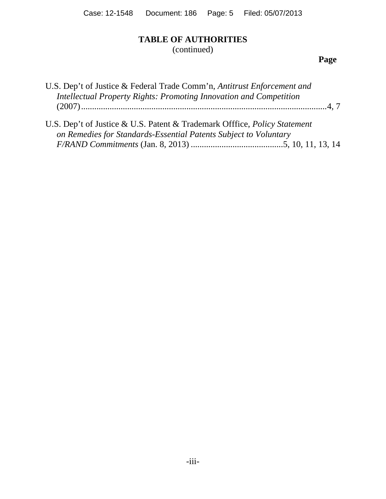## **TABLE OF AUTHORITIES**

(continued)

**Page**

| U.S. Dep't of Justice & Federal Trade Comm'n, Antitrust Enforcement and          |  |
|----------------------------------------------------------------------------------|--|
| Intellectual Property Rights: Promoting Innovation and Competition               |  |
|                                                                                  |  |
|                                                                                  |  |
| U.S. Dep't of Justice & U.S. Patent & Trademark Offfice, <i>Policy Statement</i> |  |
| on Remedies for Standards-Essential Patents Subject to Voluntary                 |  |
|                                                                                  |  |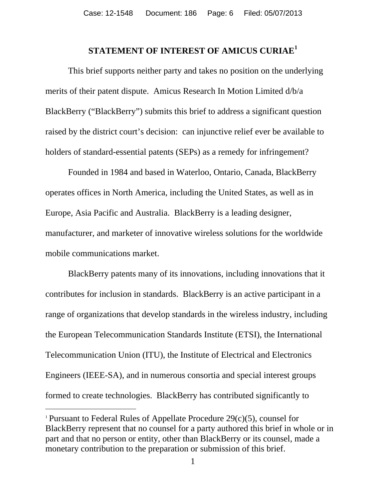## **STATEMENT OF INTEREST OF AMICUS CURIAE<sup>1</sup>**

 This brief supports neither party and takes no position on the underlying merits of their patent dispute. Amicus Research In Motion Limited d/b/a BlackBerry ("BlackBerry") submits this brief to address a significant question raised by the district court's decision: can injunctive relief ever be available to holders of standard-essential patents (SEPs) as a remedy for infringement?

Founded in 1984 and based in Waterloo, Ontario, Canada, BlackBerry operates offices in North America, including the United States, as well as in Europe, Asia Pacific and Australia.BlackBerry is a leading designer, manufacturer, and marketer of innovative wireless solutions for the worldwide mobile communications market.

BlackBerry patents many of its innovations, including innovations that it contributes for inclusion in standards. BlackBerry is an active participant in a range of organizations that develop standards in the wireless industry, including the European Telecommunication Standards Institute (ETSI), the International Telecommunication Union (ITU), the Institute of Electrical and Electronics Engineers (IEEE-SA), and in numerous consortia and special interest groups formed to create technologies. BlackBerry has contributed significantly to

-

<sup>&</sup>lt;sup>1</sup> Pursuant to Federal Rules of Appellate Procedure  $29(c)(5)$ , counsel for BlackBerry represent that no counsel for a party authored this brief in whole or in part and that no person or entity, other than BlackBerry or its counsel, made a monetary contribution to the preparation or submission of this brief.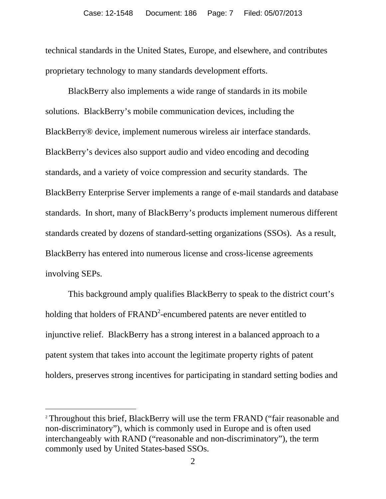technical standards in the United States, Europe, and elsewhere, and contributes proprietary technology to many standards development efforts.

 BlackBerry also implements a wide range of standards in its mobile solutions. BlackBerry's mobile communication devices, including the BlackBerry® device, implement numerous wireless air interface standards. BlackBerry's devices also support audio and video encoding and decoding standards, and a variety of voice compression and security standards. The BlackBerry Enterprise Server implements a range of e-mail standards and database standards. In short, many of BlackBerry's products implement numerous different standards created by dozens of standard-setting organizations (SSOs). As a result, BlackBerry has entered into numerous license and cross-license agreements involving SEPs.

This background amply qualifies BlackBerry to speak to the district court's holding that holders of  $\text{FRAND}^2$ -encumbered patents are never entitled to injunctive relief. BlackBerry has a strong interest in a balanced approach to a patent system that takes into account the legitimate property rights of patent holders, preserves strong incentives for participating in standard setting bodies and

-

<sup>&</sup>lt;sup>2</sup> Throughout this brief, BlackBerry will use the term FRAND ("fair reasonable and non-discriminatory"), which is commonly used in Europe and is often used interchangeably with RAND ("reasonable and non-discriminatory"), the term commonly used by United States-based SSOs.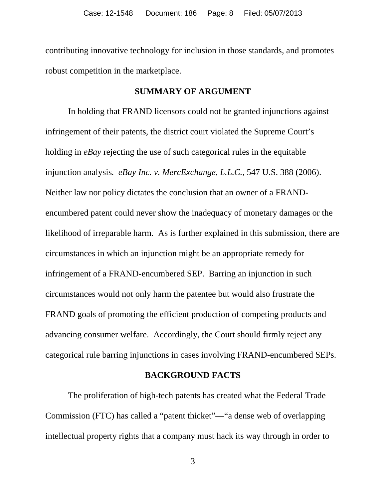contributing innovative technology for inclusion in those standards, and promotes robust competition in the marketplace.

#### **SUMMARY OF ARGUMENT**

In holding that FRAND licensors could not be granted injunctions against infringement of their patents, the district court violated the Supreme Court's holding in *eBay* rejecting the use of such categorical rules in the equitable injunction analysis*. eBay Inc. v. MercExchange, L.L.C.,* 547 U.S. 388 (2006). Neither law nor policy dictates the conclusion that an owner of a FRANDencumbered patent could never show the inadequacy of monetary damages or the likelihood of irreparable harm. As is further explained in this submission, there are circumstances in which an injunction might be an appropriate remedy for infringement of a FRAND-encumbered SEP. Barring an injunction in such circumstances would not only harm the patentee but would also frustrate the FRAND goals of promoting the efficient production of competing products and advancing consumer welfare. Accordingly, the Court should firmly reject any categorical rule barring injunctions in cases involving FRAND-encumbered SEPs.

#### **BACKGROUND FACTS**

 The proliferation of high-tech patents has created what the Federal Trade Commission (FTC) has called a "patent thicket"—"a dense web of overlapping intellectual property rights that a company must hack its way through in order to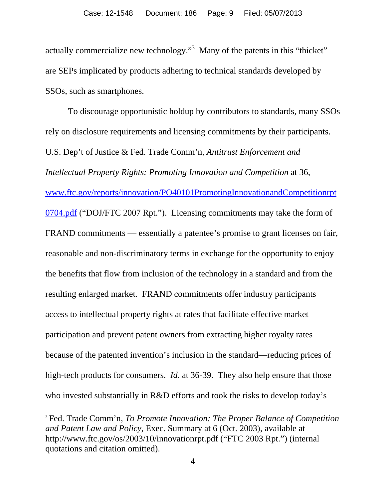actually commercialize new technology."<sup>3</sup> Many of the patents in this "thicket" are SEPs implicated by products adhering to technical standards developed by SSOs, such as smartphones.

To discourage opportunistic holdup by contributors to standards, many SSOs rely on disclosure requirements and licensing commitments by their participants. U.S. Dep't of Justice & Fed. Trade Comm'n, *Antitrust Enforcement and Intellectual Property Rights: Promoting Innovation and Competition* at 36, www.ftc.gov/reports/innovation/PO40101PromotingInnovationandCompetitionrpt 0704.pdf ("DOJ/FTC 2007 Rpt."). Licensing commitments may take the form of FRAND commitments — essentially a patentee's promise to grant licenses on fair, reasonable and non-discriminatory terms in exchange for the opportunity to enjoy the benefits that flow from inclusion of the technology in a standard and from the resulting enlarged market. FRAND commitments offer industry participants access to intellectual property rights at rates that facilitate effective market participation and prevent patent owners from extracting higher royalty rates because of the patented invention's inclusion in the standard—reducing prices of high-tech products for consumers. *Id.* at 36-39. They also help ensure that those who invested substantially in R&D efforts and took the risks to develop today's

 $\overline{a}$ 

<sup>3</sup> Fed. Trade Comm'n, *To Promote Innovation: The Proper Balance of Competition and Patent Law and Policy*, Exec. Summary at 6 (Oct. 2003), available at http://www.ftc.gov/os/2003/10/innovationrpt.pdf ("FTC 2003 Rpt.") (internal quotations and citation omitted).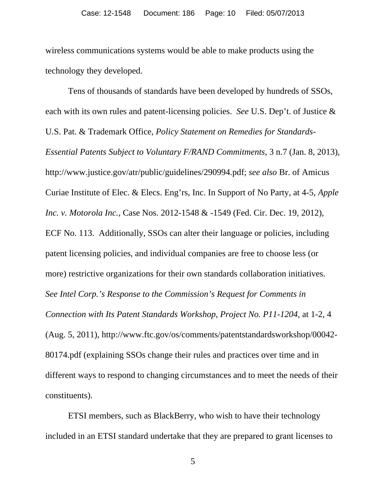wireless communications systems would be able to make products using the technology they developed.

Tens of thousands of standards have been developed by hundreds of SSOs, each with its own rules and patent-licensing policies. *See* U.S. Dep't. of Justice & U.S. Pat. & Trademark Office, *Policy Statement on Remedies for Standards-Essential Patents Subject to Voluntary F/RAND Commitments*, 3 n.7 (Jan. 8, 2013), http://www.justice.gov/atr/public/guidelines/290994.pdf; *see also* Br. of Amicus Curiae Institute of Elec. & Elecs. Eng'rs, Inc. In Support of No Party, at 4-5, *Apple Inc. v. Motorola Inc.*, Case Nos. 2012-1548 & -1549 (Fed. Cir. Dec. 19, 2012), ECF No. 113. Additionally, SSOs can alter their language or policies, including patent licensing policies, and individual companies are free to choose less (or more) restrictive organizations for their own standards collaboration initiatives. *See Intel Corp.'s Response to the Commission's Request for Comments in Connection with Its Patent Standards Workshop, Project No. P11-1204*, at 1-2, 4 (Aug. 5, 2011), http://www.ftc.gov/os/comments/patentstandardsworkshop/00042- 80174.pdf (explaining SSOs change their rules and practices over time and in different ways to respond to changing circumstances and to meet the needs of their constituents).

ETSI members, such as BlackBerry, who wish to have their technology included in an ETSI standard undertake that they are prepared to grant licenses to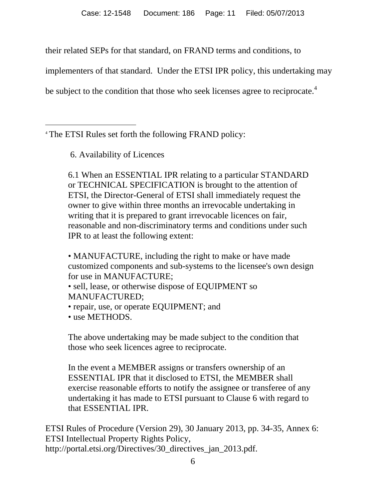their related SEPs for that standard, on FRAND terms and conditions, to

implementers of that standard. Under the ETSI IPR policy, this undertaking may

be subject to the condition that those who seek licenses agree to reciprocate.<sup>4</sup>

 $\overline{a}$ <sup>4</sup> The ETSI Rules set forth the following FRAND policy:

6. Availability of Licences

6.1 When an ESSENTIAL IPR relating to a particular STANDARD or TECHNICAL SPECIFICATION is brought to the attention of ETSI, the Director-General of ETSI shall immediately request the owner to give within three months an irrevocable undertaking in writing that it is prepared to grant irrevocable licences on fair, reasonable and non-discriminatory terms and conditions under such IPR to at least the following extent:

• MANUFACTURE, including the right to make or have made customized components and sub-systems to the licensee's own design for use in MANUFACTURE;

• sell, lease, or otherwise dispose of EQUIPMENT so MANUFACTURED;

- repair, use, or operate EQUIPMENT; and
- use METHODS.

The above undertaking may be made subject to the condition that those who seek licences agree to reciprocate.

In the event a MEMBER assigns or transfers ownership of an ESSENTIAL IPR that it disclosed to ETSI, the MEMBER shall exercise reasonable efforts to notify the assignee or transferee of any undertaking it has made to ETSI pursuant to Clause 6 with regard to that ESSENTIAL IPR.

ETSI Rules of Procedure (Version 29), 30 January 2013, pp. 34-35, Annex 6: ETSI Intellectual Property Rights Policy, http://portal.etsi.org/Directives/30\_directives\_jan\_2013.pdf.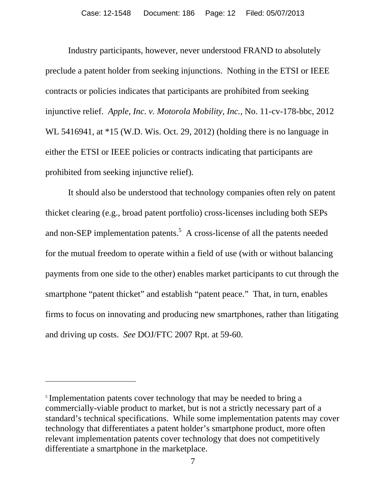Industry participants, however, never understood FRAND to absolutely preclude a patent holder from seeking injunctions. Nothing in the ETSI or IEEE contracts or policies indicates that participants are prohibited from seeking injunctive relief. *Apple, Inc. v. Motorola Mobility, Inc.,* No. 11-cv-178-bbc, 2012 WL 5416941, at \*15 (W.D. Wis. Oct. 29, 2012) (holding there is no language in either the ETSI or IEEE policies or contracts indicating that participants are prohibited from seeking injunctive relief).

It should also be understood that technology companies often rely on patent thicket clearing (e.g., broad patent portfolio) cross-licenses including both SEPs and non-SEP implementation patents.<sup>5</sup> A cross-license of all the patents needed for the mutual freedom to operate within a field of use (with or without balancing payments from one side to the other) enables market participants to cut through the smartphone "patent thicket" and establish "patent peace." That, in turn, enables firms to focus on innovating and producing new smartphones, rather than litigating and driving up costs. *See* DOJ/FTC 2007 Rpt. at 59-60.

 $\overline{a}$ 

<sup>&</sup>lt;sup>5</sup> Implementation patents cover technology that may be needed to bring a commercially-viable product to market, but is not a strictly necessary part of a standard's technical specifications. While some implementation patents may cover technology that differentiates a patent holder's smartphone product, more often relevant implementation patents cover technology that does not competitively differentiate a smartphone in the marketplace.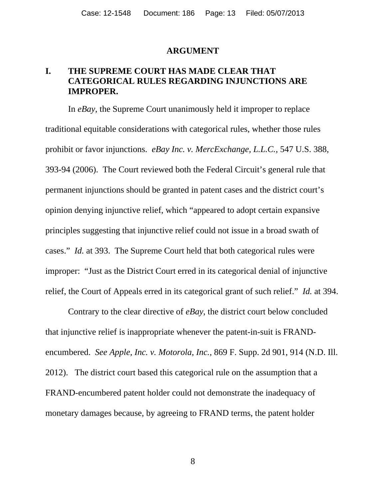#### **ARGUMENT**

### **I. THE SUPREME COURT HAS MADE CLEAR THAT CATEGORICAL RULES REGARDING INJUNCTIONS ARE IMPROPER.**

 In *eBay*, the Supreme Court unanimously held it improper to replace traditional equitable considerations with categorical rules, whether those rules prohibit or favor injunctions. *eBay Inc. v. MercExchange, L.L.C.,* 547 U.S. 388, 393-94 (2006). The Court reviewed both the Federal Circuit's general rule that permanent injunctions should be granted in patent cases and the district court's opinion denying injunctive relief, which "appeared to adopt certain expansive principles suggesting that injunctive relief could not issue in a broad swath of cases." *Id.* at 393. The Supreme Court held that both categorical rules were improper: "Just as the District Court erred in its categorical denial of injunctive relief, the Court of Appeals erred in its categorical grant of such relief." *Id.* at 394.

Contrary to the clear directive of *eBay*, the district court below concluded that injunctive relief is inappropriate whenever the patent-in-suit is FRANDencumbered. *See Apple, Inc. v. Motorola, Inc.,* 869 F. Supp. 2d 901, 914 (N.D. Ill. 2012). The district court based this categorical rule on the assumption that a FRAND-encumbered patent holder could not demonstrate the inadequacy of monetary damages because, by agreeing to FRAND terms, the patent holder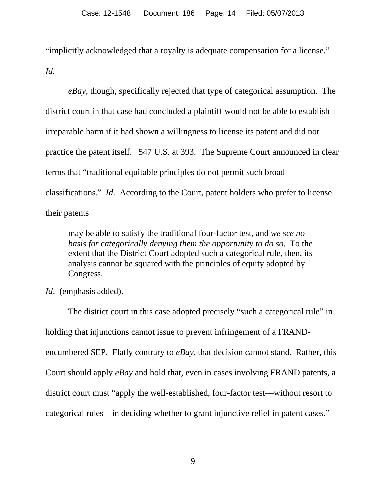"implicitly acknowledged that a royalty is adequate compensation for a license." *Id.*

*eBay,* though, specifically rejected that type of categorical assumption. The district court in that case had concluded a plaintiff would not be able to establish irreparable harm if it had shown a willingness to license its patent and did not practice the patent itself. 547 U.S. at 393. The Supreme Court announced in clear terms that "traditional equitable principles do not permit such broad classifications." *Id*. According to the Court, patent holders who prefer to license their patents

may be able to satisfy the traditional four-factor test, and *we see no basis for categorically denying them the opportunity to do so.* To the extent that the District Court adopted such a categorical rule, then, its analysis cannot be squared with the principles of equity adopted by Congress.

*Id*. (emphasis added).

 The district court in this case adopted precisely "such a categorical rule" in holding that injunctions cannot issue to prevent infringement of a FRANDencumbered SEP. Flatly contrary to *eBay,* that decision cannot stand. Rather, this Court should apply *eBay* and hold that, even in cases involving FRAND patents, a district court must "apply the well-established, four-factor test—without resort to categorical rules—in deciding whether to grant injunctive relief in patent cases."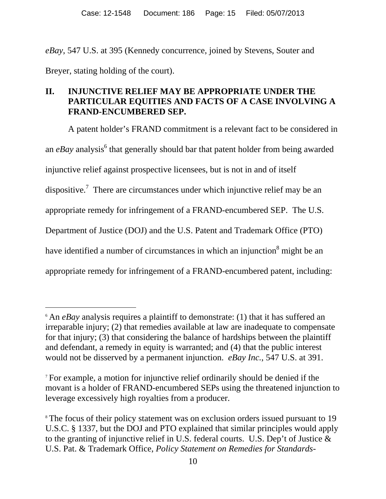*eBay*, 547 U.S. at 395 (Kennedy concurrence, joined by Stevens, Souter and Breyer, stating holding of the court).

## **II. INJUNCTIVE RELIEF MAY BE APPROPRIATE UNDER THE PARTICULAR EQUITIES AND FACTS OF A CASE INVOLVING A FRAND-ENCUMBERED SEP.**

 A patent holder's FRAND commitment is a relevant fact to be considered in an *eBay* analysis<sup>6</sup> that generally should bar that patent holder from being awarded injunctive relief against prospective licensees, but is not in and of itself dispositive.<sup>7</sup> There are circumstances under which injunctive relief may be an appropriate remedy for infringement of a FRAND-encumbered SEP.The U.S. Department of Justice (DOJ) and the U.S. Patent and Trademark Office (PTO) have identified a number of circumstances in which an injunction<sup>8</sup> might be an appropriate remedy for infringement of a FRAND-encumbered patent, including:

-

<sup>6</sup> An *eBay* analysis requires a plaintiff to demonstrate: (1) that it has suffered an irreparable injury; (2) that remedies available at law are inadequate to compensate for that injury; (3) that considering the balance of hardships between the plaintiff and defendant, a remedy in equity is warranted; and (4) that the public interest would not be disserved by a permanent injunction. *eBay Inc.*, 547 U.S. at 391.

<sup>7</sup> For example, a motion for injunctive relief ordinarily should be denied if the movant is a holder of FRAND-encumbered SEPs using the threatened injunction to leverage excessively high royalties from a producer.

<sup>&</sup>lt;sup>8</sup> The focus of their policy statement was on exclusion orders issued pursuant to 19 U.S.C. § 1337, but the DOJ and PTO explained that similar principles would apply to the granting of injunctive relief in U.S. federal courts. U.S. Dep't of Justice & U.S. Pat. & Trademark Office, *Policy Statement on Remedies for Standards-*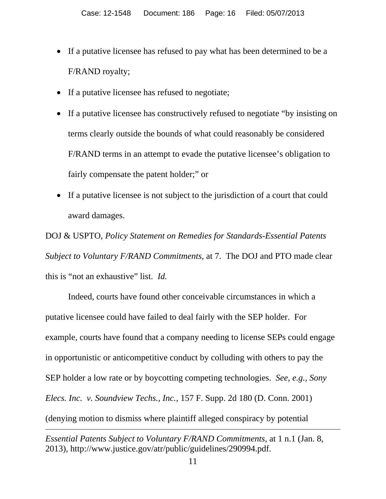- If a putative licensee has refused to pay what has been determined to be a F/RAND royalty;
- If a putative licensee has refused to negotiate;
- If a putative licensee has constructively refused to negotiate "by insisting on terms clearly outside the bounds of what could reasonably be considered F/RAND terms in an attempt to evade the putative licensee's obligation to fairly compensate the patent holder;" or
- If a putative licensee is not subject to the jurisdiction of a court that could award damages.

DOJ & USPTO, *Policy Statement on Remedies for Standards-Essential Patents Subject to Voluntary F/RAND Commitments,* at 7. The DOJ and PTO made clear this is "not an exhaustive" list. *Id.* 

Indeed, courts have found other conceivable circumstances in which a putative licensee could have failed to deal fairly with the SEP holder. For example, courts have found that a company needing to license SEPs could engage in opportunistic or anticompetitive conduct by colluding with others to pay the SEP holder a low rate or by boycotting competing technologies. *See, e.g., Sony Elecs. Inc. v. Soundview Techs., Inc.*, 157 F. Supp. 2d 180 (D. Conn. 2001) (denying motion to dismiss where plaintiff alleged conspiracy by potential -

*Essential Patents Subject to Voluntary F/RAND Commitments,* at 1 n.1 (Jan. 8, 2013), http://www.justice.gov/atr/public/guidelines/290994.pdf.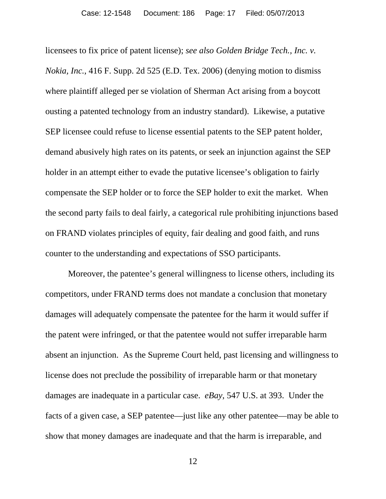licensees to fix price of patent license); *see also Golden Bridge Tech., Inc. v. Nokia, Inc.*, 416 F. Supp. 2d 525 (E.D. Tex. 2006) (denying motion to dismiss where plaintiff alleged per se violation of Sherman Act arising from a boycott ousting a patented technology from an industry standard). Likewise, a putative SEP licensee could refuse to license essential patents to the SEP patent holder, demand abusively high rates on its patents, or seek an injunction against the SEP holder in an attempt either to evade the putative licensee's obligation to fairly compensate the SEP holder or to force the SEP holder to exit the market. When the second party fails to deal fairly, a categorical rule prohibiting injunctions based on FRAND violates principles of equity, fair dealing and good faith, and runs counter to the understanding and expectations of SSO participants.

Moreover, the patentee's general willingness to license others, including its competitors, under FRAND terms does not mandate a conclusion that monetary damages will adequately compensate the patentee for the harm it would suffer if the patent were infringed, or that the patentee would not suffer irreparable harm absent an injunction. As the Supreme Court held, past licensing and willingness to license does not preclude the possibility of irreparable harm or that monetary damages are inadequate in a particular case. *eBay*, 547 U.S. at 393. Under the facts of a given case, a SEP patentee—just like any other patentee—may be able to show that money damages are inadequate and that the harm is irreparable, and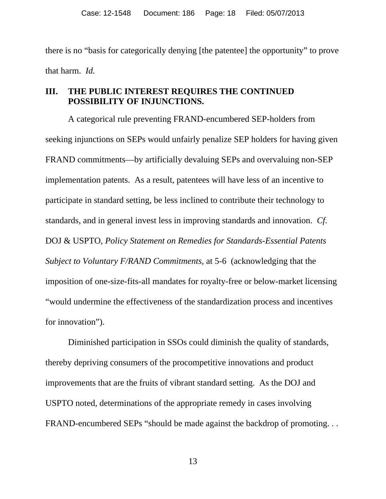there is no "basis for categorically denying [the patentee] the opportunity" to prove that harm. *Id.*

## **III. THE PUBLIC INTEREST REQUIRES THE CONTINUED POSSIBILITY OF INJUNCTIONS.**

A categorical rule preventing FRAND-encumbered SEP-holders from seeking injunctions on SEPs would unfairly penalize SEP holders for having given FRAND commitments—by artificially devaluing SEPs and overvaluing non-SEP implementation patents. As a result, patentees will have less of an incentive to participate in standard setting, be less inclined to contribute their technology to standards, and in general invest less in improving standards and innovation. *Cf.*  DOJ & USPTO, *Policy Statement on Remedies for Standards-Essential Patents Subject to Voluntary F/RAND Commitments,* at 5-6 (acknowledging that the imposition of one-size-fits-all mandates for royalty-free or below-market licensing "would undermine the effectiveness of the standardization process and incentives for innovation").

Diminished participation in SSOs could diminish the quality of standards, thereby depriving consumers of the procompetitive innovations and product improvements that are the fruits of vibrant standard setting. As the DOJ and USPTO noted, determinations of the appropriate remedy in cases involving FRAND-encumbered SEPs "should be made against the backdrop of promoting. . .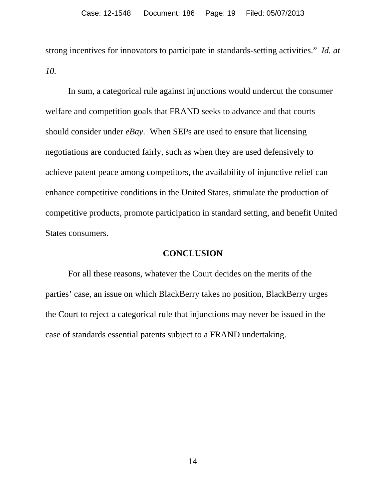strong incentives for innovators to participate in standards-setting activities." *Id. at 10.* 

 In sum, a categorical rule against injunctions would undercut the consumer welfare and competition goals that FRAND seeks to advance and that courts should consider under *eBay*. When SEPs are used to ensure that licensing negotiations are conducted fairly, such as when they are used defensively to achieve patent peace among competitors, the availability of injunctive relief can enhance competitive conditions in the United States, stimulate the production of competitive products, promote participation in standard setting, and benefit United States consumers.

#### **CONCLUSION**

For all these reasons, whatever the Court decides on the merits of the parties' case, an issue on which BlackBerry takes no position, BlackBerry urges the Court to reject a categorical rule that injunctions may never be issued in the case of standards essential patents subject to a FRAND undertaking.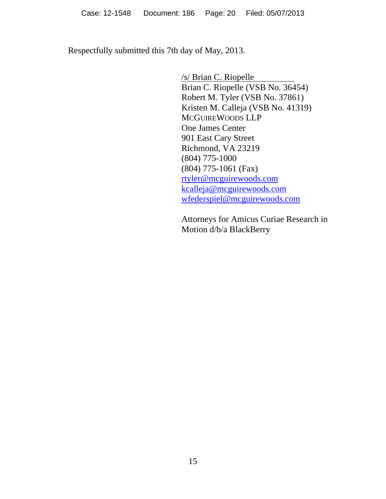Respectfully submitted this 7th day of May, 2013.

 /s/ Brian C. Riopelle Brian C. Riopelle (VSB No. 36454) Robert M. Tyler (VSB No. 37861) Kristen M. Calleja (VSB No. 41319) MCGUIREWOODS LLP One James Center 901 East Cary Street Richmond, VA 23219 (804) 775-1000 (804) 775-1061 (Fax) rtyler@mcguirewoods.com kcalleja@mcguirewoods.com wfederspiel@mcguirewoods.com

Attorneys for Amicus Curiae Research in Motion d/b/a BlackBerry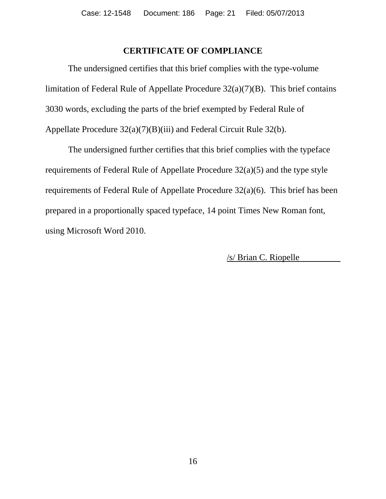### **CERTIFICATE OF COMPLIANCE**

The undersigned certifies that this brief complies with the type-volume limitation of Federal Rule of Appellate Procedure 32(a)(7)(B). This brief contains 3030 words, excluding the parts of the brief exempted by Federal Rule of Appellate Procedure 32(a)(7)(B)(iii) and Federal Circuit Rule 32(b).

The undersigned further certifies that this brief complies with the typeface requirements of Federal Rule of Appellate Procedure 32(a)(5) and the type style requirements of Federal Rule of Appellate Procedure 32(a)(6). This brief has been prepared in a proportionally spaced typeface, 14 point Times New Roman font, using Microsoft Word 2010.

/s/ Brian C. Riopelle